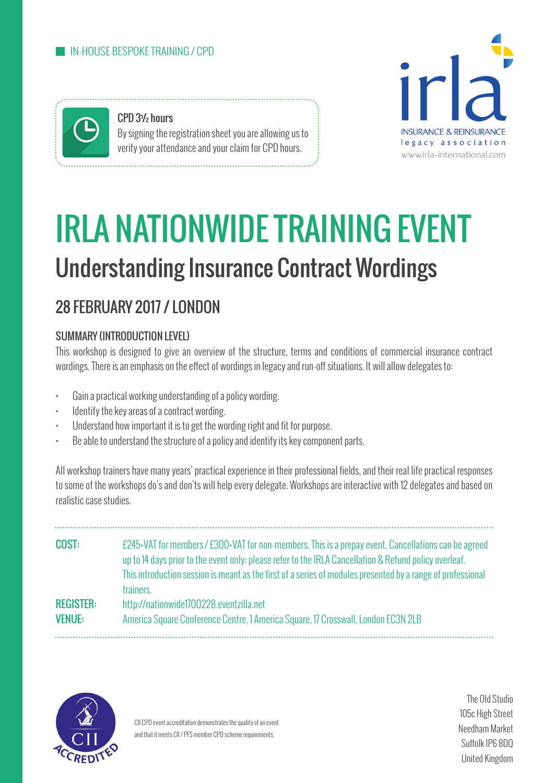

CPD 3½ hours By signing the registration sheet you are allowing us to verify your attendance and your claim for CPD hours.



# IRLA NATIONWIDE TRAINING EVENT Understanding Insurance Contract Wordings

# 28 FEBRUARY 2017 / LONDON

# SUMMARY (INTRODUCTION LEVEL)

This workshop is designed to give an overview of the structure, terms and conditions of commercial insurance contract wordings. There is an emphasis on the effect of wordings in legacy and run-off situations. It will allow delegates to:

- Gain a practical working understanding of a policy wording.
- Identify the key areas of a contract wording.
- Understand how important it is to get the wording right and fit for purpose.
- Be able to understand the structure of a policy and identify its key component parts.

All workshop trainers have many years' practical experience in their professional fields, and their real life practical responses to some of the workshops do's and don'ts will help every delegate. Workshops are interactive with 12 delegates and based on realistic case studies.

| COST:            | £245+VAT for members / £300+VAT for non-members. This is a prepay event. Cancellations can be agreed<br>up to 14 days prior to the event only; please refer to the IRLA Cancellation & Refund policy overleaf. |
|------------------|----------------------------------------------------------------------------------------------------------------------------------------------------------------------------------------------------------------|
|                  | This introduction session is meant as the first of a series of modules presented by a range of professional<br>trainers.                                                                                       |
| <b>REGISTER:</b> | http://nationwide1700228.eventzilla.net                                                                                                                                                                        |
| <b>VENUE:</b>    | America Square Conference Centre, 1 America Square, 17 Crosswall, London EC3N 2LB                                                                                                                              |